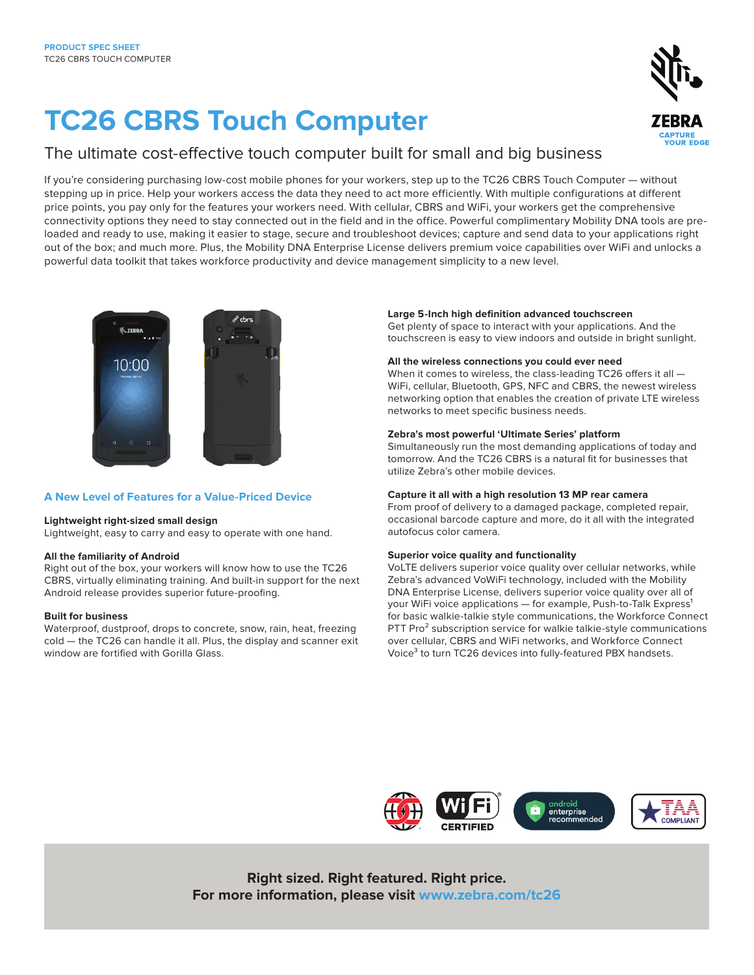# **TC26 CBRS Touch Computer**

### The ultimate cost-effective touch computer built for small and big business

If you're considering purchasing low-cost mobile phones for your workers, step up to the TC26 CBRS Touch Computer — without stepping up in price. Help your workers access the data they need to act more efficiently. With multiple configurations at different price points, you pay only for the features your workers need. With cellular, CBRS and WiFi, your workers get the comprehensive connectivity options they need to stay connected out in the field and in the office. Powerful complimentary Mobility DNA tools are preloaded and ready to use, making it easier to stage, secure and troubleshoot devices; capture and send data to your applications right out of the box; and much more. Plus, the Mobility DNA Enterprise License delivers premium voice capabilities over WiFi and unlocks a powerful data toolkit that takes workforce productivity and device management simplicity to a new level.



#### **A New Level of Features for a Value-Priced Device**

#### **Lightweight right-sized small design**

Lightweight, easy to carry and easy to operate with one hand.

#### **All the familiarity of Android**

Right out of the box, your workers will know how to use the TC26 CBRS, virtually eliminating training. And built-in support for the next Android release provides superior future-proofing.

#### **Built for business**

Waterproof, dustproof, drops to concrete, snow, rain, heat, freezing cold — the TC26 can handle it all. Plus, the display and scanner exit window are fortified with Gorilla Glass.

#### **Large 5-Inch high definition advanced touchscreen**

Get plenty of space to interact with your applications. And the touchscreen is easy to view indoors and outside in bright sunlight.

#### **All the wireless connections you could ever need**

When it comes to wireless, the class-leading TC26 offers it all — WiFi, cellular, Bluetooth, GPS, NFC and CBRS, the newest wireless networking option that enables the creation of private LTE wireless networks to meet specific business needs.

#### **Zebra's most powerful 'Ultimate Series' platform**

Simultaneously run the most demanding applications of today and tomorrow. And the TC26 CBRS is a natural fit for businesses that utilize Zebra's other mobile devices.

#### **Capture it all with a high resolution 13 MP rear camera**

From proof of delivery to a damaged package, completed repair, occasional barcode capture and more, do it all with the integrated autofocus color camera.

#### **Superior voice quality and functionality**

VoLTE delivers superior voice quality over cellular networks, while Zebra's advanced VoWiFi technology, included with the Mobility DNA Enterprise License, delivers superior voice quality over all of your WiFi voice applications - for example, Push-to-Talk Express<sup>1</sup> for basic walkie-talkie style communications, the Workforce Connect PTT Pro<sup>2</sup> subscription service for walkie talkie-style communications over cellular, CBRS and WiFi networks, and Workforce Connect Voice<sup>3</sup> to turn TC26 devices into fully-featured PBX handsets.



**Right sized. Right featured. Right price. For more information, please visit [www.zebra.com/tc26](http://www.zebra.com/tc21-tc26)**

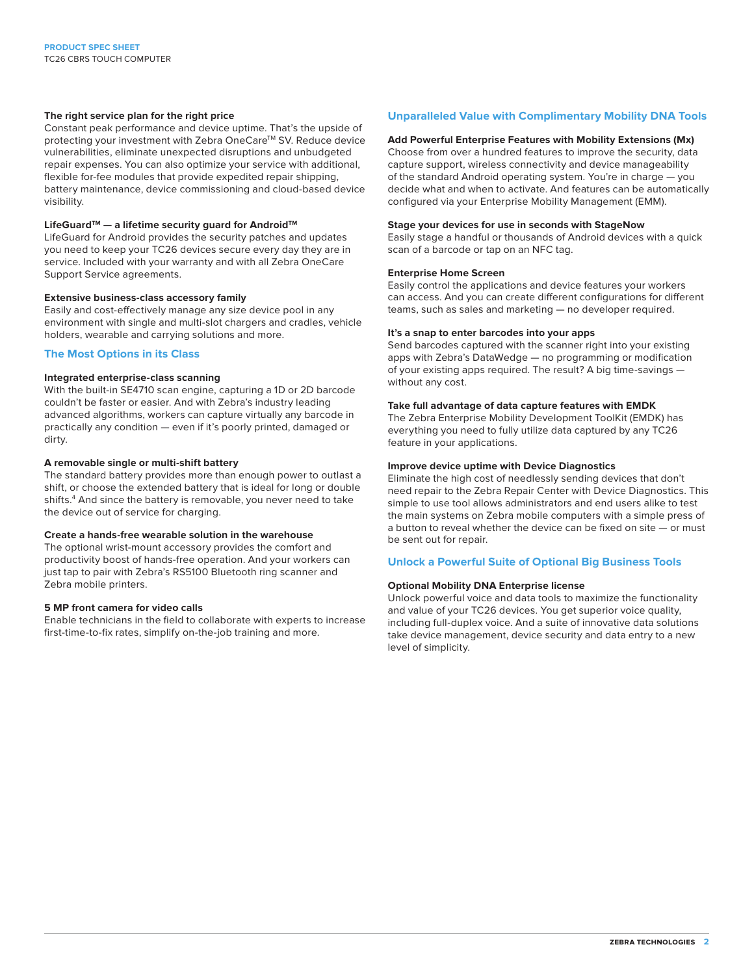#### **The right service plan for the right price**

Constant peak performance and device uptime. That's the upside of protecting your investment with Zebra OneCare™ SV. Reduce device vulnerabilities, eliminate unexpected disruptions and unbudgeted repair expenses. You can also optimize your service with additional, flexible for-fee modules that provide expedited repair shipping, battery maintenance, device commissioning and cloud-based device visibility.

#### LifeGuard<sup>™</sup> — a lifetime security guard for Android<sup>™</sup>

LifeGuard for Android provides the security patches and updates you need to keep your TC26 devices secure every day they are in service. Included with your warranty and with all Zebra OneCare Support Service agreements.

#### **Extensive business-class accessory family**

Easily and cost-effectively manage any size device pool in any environment with single and multi-slot chargers and cradles, vehicle holders, wearable and carrying solutions and more.

#### **The Most Options in its Class**

#### **Integrated enterprise-class scanning**

With the built-in SE4710 scan engine, capturing a 1D or 2D barcode couldn't be faster or easier. And with Zebra's industry leading advanced algorithms, workers can capture virtually any barcode in practically any condition — even if it's poorly printed, damaged or dirty.

#### **A removable single or multi-shift battery**

The standard battery provides more than enough power to outlast a shift, or choose the extended battery that is ideal for long or double shifts.4 And since the battery is removable, you never need to take the device out of service for charging.

#### **Create a hands-free wearable solution in the warehouse**

The optional wrist-mount accessory provides the comfort and productivity boost of hands-free operation. And your workers can just tap to pair with Zebra's RS5100 Bluetooth ring scanner and Zebra mobile printers.

#### **5 MP front camera for video calls**

Enable technicians in the field to collaborate with experts to increase first-time-to-fix rates, simplify on-the-job training and more.

#### **Unparalleled Value with Complimentary Mobility DNA Tools**

#### **Add Powerful Enterprise Features with Mobility Extensions (Mx)**

Choose from over a hundred features to improve the security, data capture support, wireless connectivity and device manageability of the standard Android operating system. You're in charge — you decide what and when to activate. And features can be automatically configured via your Enterprise Mobility Management (EMM).

#### **Stage your devices for use in seconds with StageNow**

Easily stage a handful or thousands of Android devices with a quick scan of a barcode or tap on an NFC tag.

#### **Enterprise Home Screen**

Easily control the applications and device features your workers can access. And you can create different configurations for different teams, such as sales and marketing — no developer required.

#### **It's a snap to enter barcodes into your apps**

Send barcodes captured with the scanner right into your existing apps with Zebra's DataWedge — no programming or modification of your existing apps required. The result? A big time-savings without any cost.

#### **Take full advantage of data capture features with EMDK**

The Zebra Enterprise Mobility Development ToolKit (EMDK) has everything you need to fully utilize data captured by any TC26 feature in your applications.

#### **Improve device uptime with Device Diagnostics**

Eliminate the high cost of needlessly sending devices that don't need repair to the Zebra Repair Center with Device Diagnostics. This simple to use tool allows administrators and end users alike to test the main systems on Zebra mobile computers with a simple press of a button to reveal whether the device can be fixed on site — or must be sent out for repair.

#### **Unlock a Powerful Suite of Optional Big Business Tools**

#### **Optional Mobility DNA Enterprise license**

Unlock powerful voice and data tools to maximize the functionality and value of your TC26 devices. You get superior voice quality, including full-duplex voice. And a suite of innovative data solutions take device management, device security and data entry to a new level of simplicity.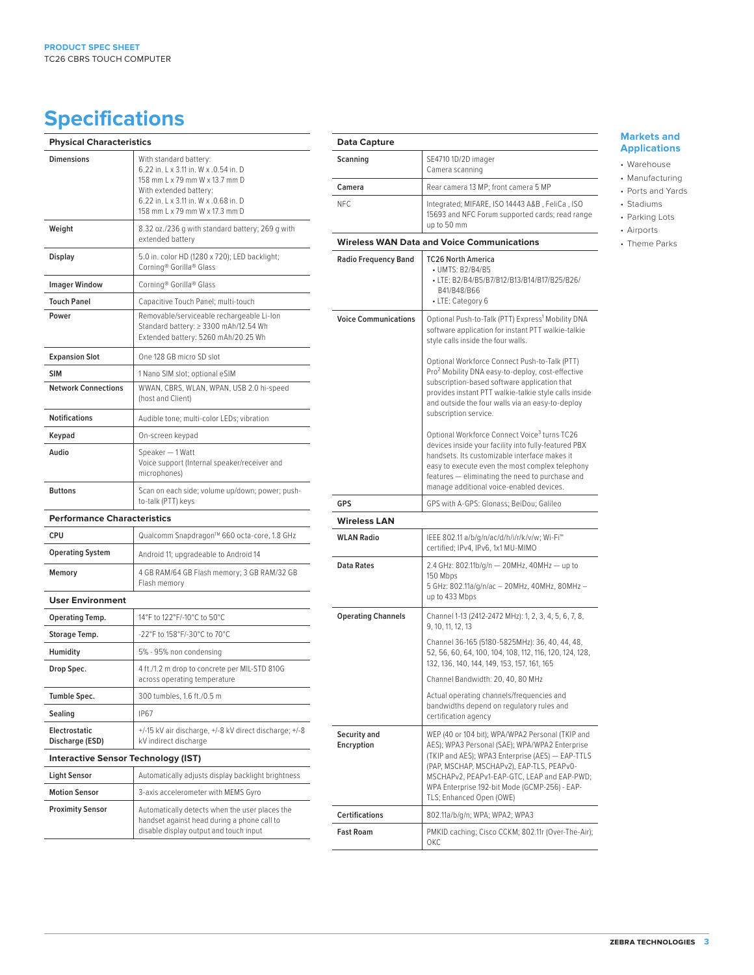## **Specifications**

| <b>Physical Characteristics</b>            |                                                                                                                                                                                                        |
|--------------------------------------------|--------------------------------------------------------------------------------------------------------------------------------------------------------------------------------------------------------|
| <b>Dimensions</b>                          | With standard battery:<br>6.22 in. L x 3.11 in. W x .0.54 in. D<br>158 mm L x 79 mm W x 13.7 mm D<br>With extended battery:<br>6.22 in. L x 3.11 in. W x .0.68 in. D<br>158 mm L x 79 mm W x 17.3 mm D |
| Weight                                     | 8.32 oz./236 g with standard battery; 269 g with<br>extended battery                                                                                                                                   |
| <b>Display</b>                             | 5.0 in. color HD (1280 x 720); LED backlight;<br>Corning® Gorilla® Glass                                                                                                                               |
| <b>Imager Window</b>                       | Corning® Gorilla® Glass                                                                                                                                                                                |
| <b>Touch Panel</b>                         | Capacitive Touch Panel; multi-touch                                                                                                                                                                    |
| Power                                      | Removable/serviceable rechargeable Li-Ion<br>Standard battery: ≥ 3300 mAh/12.54 Wh<br>Extended battery: 5260 mAh/20.25 Wh                                                                              |
| <b>Expansion Slot</b>                      | One 128 GB micro SD slot                                                                                                                                                                               |
| <b>SIM</b>                                 | 1 Nano SIM slot; optional eSIM                                                                                                                                                                         |
| <b>Network Connections</b>                 | WWAN, CBRS, WLAN, WPAN, USB 2.0 hi-speed<br>(host and Client)                                                                                                                                          |
| <b>Notifications</b>                       | Audible tone; multi-color LEDs; vibration                                                                                                                                                              |
| Keypad                                     | On-screen keypad                                                                                                                                                                                       |
| Audio                                      | Speaker - 1 Watt<br>Voice support (Internal speaker/receiver and<br>microphones)                                                                                                                       |
| <b>Buttons</b>                             | Scan on each side; volume up/down; power; push-<br>to-talk (PTT) keys                                                                                                                                  |
| <b>Performance Characteristics</b>         |                                                                                                                                                                                                        |
| <b>CPU</b>                                 | Qualcomm Snapdragon™ 660 octa-core, 1.8 GHz                                                                                                                                                            |
| <b>Operating System</b>                    | Android 11; upgradeable to Android 14                                                                                                                                                                  |
| Memory                                     | 4 GB RAM/64 GB Flash memory; 3 GB RAM/32 GB<br>Flash memory                                                                                                                                            |
| <b>User Environment</b>                    |                                                                                                                                                                                                        |
| <b>Operating Temp.</b>                     | 14°F to 122°F/-10°C to 50°C                                                                                                                                                                            |
| Storage Temp.                              | -22°F to 158°F/-30°C to 70°C                                                                                                                                                                           |
| Humidity                                   | 5% - 95% non condensing                                                                                                                                                                                |
| Drop Spec.                                 | 4 ft./1.2 m drop to concrete per MIL-STD 810G<br>across operating temperature                                                                                                                          |
| Tumble Spec.                               | 300 tumbles, 1.6 ft./0.5 m                                                                                                                                                                             |
| Sealing                                    | <b>IP67</b>                                                                                                                                                                                            |
| Electrostatic<br>Discharge (ESD)           | +/-15 kV air discharge, +/-8 kV direct discharge; +/-8<br>kV indirect discharge                                                                                                                        |
| <b>Interactive Sensor Technology (IST)</b> |                                                                                                                                                                                                        |
| <b>Light Sensor</b>                        | Automatically adjusts display backlight brightness                                                                                                                                                     |
| <b>Motion Sensor</b>                       | 3-axis accelerometer with MEMS Gyro                                                                                                                                                                    |
| <b>Proximity Sensor</b>                    | Automatically detects when the user places the<br>handset against head during a phone call to<br>disable display output and touch input                                                                |

| Data Capture                                      |                                                                                                                                                                                                                                                                                                                                 |
|---------------------------------------------------|---------------------------------------------------------------------------------------------------------------------------------------------------------------------------------------------------------------------------------------------------------------------------------------------------------------------------------|
| Scanning                                          | SE4710 1D/2D imager<br>Camera scanning                                                                                                                                                                                                                                                                                          |
| Camera                                            | Rear camera 13 MP; front camera 5 MP                                                                                                                                                                                                                                                                                            |
| NFC.                                              | Integrated; MIFARE, ISO 14443 A&B, FeliCa, ISO<br>15693 and NFC Forum supported cards; read range<br>up to 50 mm                                                                                                                                                                                                                |
| <b>Wireless WAN Data and Voice Communications</b> |                                                                                                                                                                                                                                                                                                                                 |
| <b>Radio Frequency Band</b>                       | <b>TC26 North America</b><br>• UMTS: B2/B4/B5<br>• LTE: B2/B4/B5/B7/B12/B13/B14/B17/B25/B26/<br>B41/B48/B66<br>• LTE: Category 6                                                                                                                                                                                                |
| <b>Voice Communications</b>                       | Optional Push-to-Talk (PTT) Express <sup>1</sup> Mobility DNA<br>software application for instant PTT walkie-talkie<br>style calls inside the four walls.                                                                                                                                                                       |
|                                                   | Optional Workforce Connect Push-to-Talk (PTT)<br>Pro <sup>2</sup> Mobility DNA easy-to-deploy, cost-effective<br>subscription-based software application that<br>provides instant PTT walkie-talkie style calls inside<br>and outside the four walls via an easy-to-deploy<br>subscription service.                             |
|                                                   | Optional Workforce Connect Voice <sup>3</sup> turns TC26<br>devices inside your facility into fully-featured PBX<br>handsets. Its customizable interface makes it<br>easy to execute even the most complex telephony<br>features - eliminating the need to purchase and<br>manage additional voice-enabled devices.             |
| GPS                                               | GPS with A-GPS: Glonass; BeiDou; Galileo                                                                                                                                                                                                                                                                                        |
| <b>Wireless LAN</b>                               |                                                                                                                                                                                                                                                                                                                                 |
| <b>WLAN Radio</b>                                 | IEEE 802.11 a/b/g/n/ac/d/h/i/r/k/v/w; Wi-Fi <sup>w</sup><br>certified; IPv4, IPv6, 1x1 MU-MIMO                                                                                                                                                                                                                                  |
| <b>Data Rates</b>                                 | 2.4 GHz: 802.11b/g/n - 20MHz, 40MHz - up to<br>150 Mbps<br>5 GHz: 802.11a/g/n/ac - 20MHz, 40MHz, 80MHz -<br>up to 433 Mbps                                                                                                                                                                                                      |
| <b>Operating Channels</b>                         | Channel 1-13 (2412-2472 MHz): 1, 2, 3, 4, 5, 6, 7, 8,<br>9, 10, 11, 12, 13                                                                                                                                                                                                                                                      |
|                                                   | Channel 36-165 (5180-5825MHz): 36, 40, 44, 48,<br>52, 56, 60, 64, 100, 104, 108, 112, 116, 120, 124, 128,<br>132, 136, 140, 144, 149, 153, 157, 161, 165                                                                                                                                                                        |
|                                                   | Channel Bandwidth: 20, 40, 80 MHz                                                                                                                                                                                                                                                                                               |
|                                                   | Actual operating channels/frequencies and<br>bandwidths depend on regulatory rules and<br>certification agency                                                                                                                                                                                                                  |
| Security and<br>Encryption                        | WEP (40 or 104 bit); WPA/WPA2 Personal (TKIP and<br>AES); WPA3 Personal (SAE); WPA/WPA2 Enterprise<br>(TKIP and AES); WPA3 Enterprise (AES) - EAP-TTLS<br>(PAP, MSCHAP, MSCHAPv2), EAP-TLS, PEAPv0-<br>MSCHAPv2, PEAPv1-EAP-GTC, LEAP and EAP-PWD;<br>WPA Enterprise 192-bit Mode (GCMP-256) - EAP-<br>TLS; Enhanced Open (OWE) |
| <b>Certifications</b>                             | 802.11a/b/g/n; WPA; WPA2; WPA3                                                                                                                                                                                                                                                                                                  |
| <b>Fast Roam</b>                                  | PMKID caching; Cisco CCKM; 802.11r (Over-The-Air);<br>ОКС                                                                                                                                                                                                                                                                       |

#### **Markets and Applications**

- Warehouse
- Manufacturing
- Ports and Yards • Stadiums
- Parking Lots
- Airports
- Theme Parks